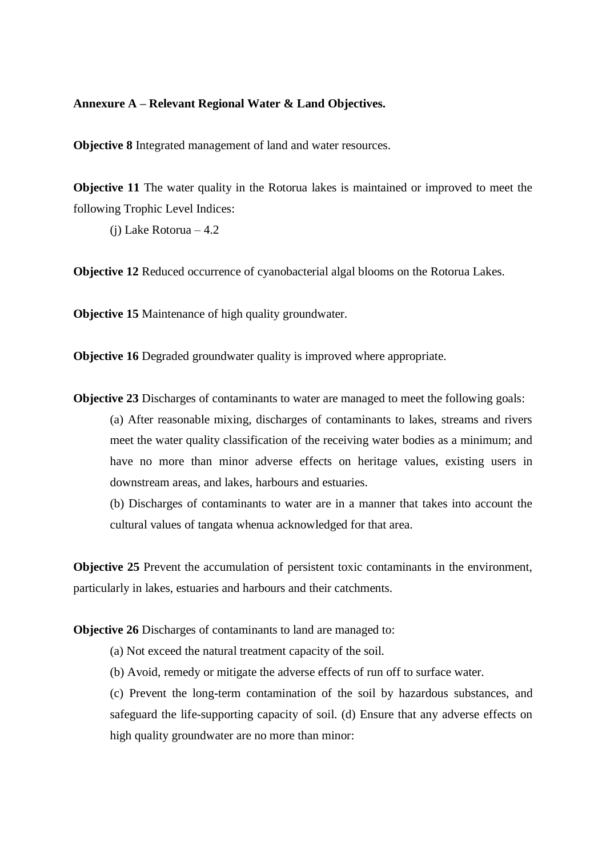## **Annexure A – Relevant Regional Water & Land Objectives.**

**Objective 8** Integrated management of land and water resources.

**Objective 11** The water quality in the Rotorua lakes is maintained or improved to meet the following Trophic Level Indices:

(j) Lake Rotorua – 4.2

**Objective 12** Reduced occurrence of cyanobacterial algal blooms on the Rotorua Lakes.

**Objective 15** Maintenance of high quality groundwater.

**Objective 16** Degraded groundwater quality is improved where appropriate.

**Objective 23** Discharges of contaminants to water are managed to meet the following goals: (a) After reasonable mixing, discharges of contaminants to lakes, streams and rivers meet the water quality classification of the receiving water bodies as a minimum; and have no more than minor adverse effects on heritage values, existing users in downstream areas, and lakes, harbours and estuaries.

(b) Discharges of contaminants to water are in a manner that takes into account the cultural values of tangata whenua acknowledged for that area.

**Objective 25** Prevent the accumulation of persistent toxic contaminants in the environment, particularly in lakes, estuaries and harbours and their catchments.

**Objective 26** Discharges of contaminants to land are managed to:

- (a) Not exceed the natural treatment capacity of the soil.
- (b) Avoid, remedy or mitigate the adverse effects of run off to surface water.

(c) Prevent the long-term contamination of the soil by hazardous substances, and safeguard the life-supporting capacity of soil. (d) Ensure that any adverse effects on high quality groundwater are no more than minor: